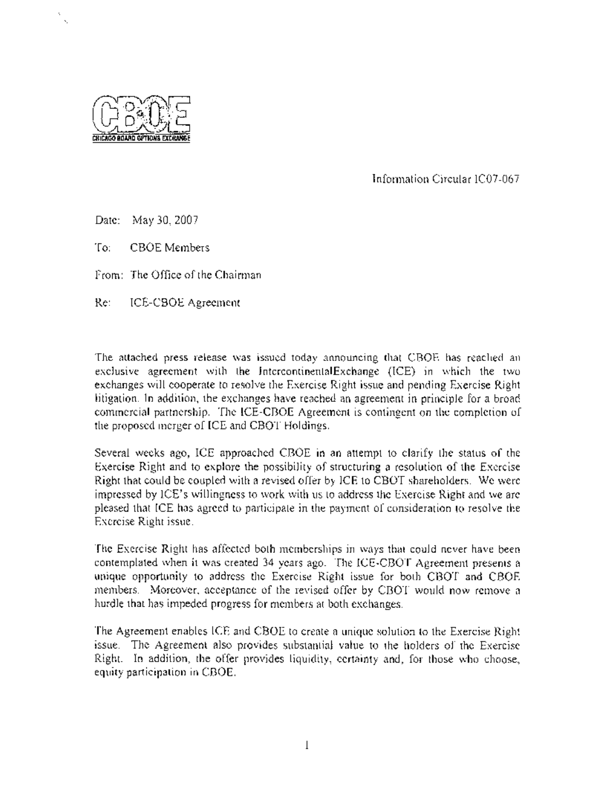

I%

Information Circular IC07-067

Date: May 30, 2007

To: CBOE Members

From: The Office of the Chairman

Re: ICE-CBOE Agreement

The attached press release was issued today announcing that CBOE has reached an exclusive agreement with the IntercontinentalExchange (ICE) in which the two exchanges will cooperate to resolve the Exercise Right issue and pending Exercise Right litigation. In addition, the exchanges have reached an agreement in principle for a broad commercial partnership. The ICE-CBOE Agreement is contingent on the completion of the proposed merger of ICE and CBOT Holdings.

Several weeks ago, ICE approached CBOE in an attempt to clarify the status of the Exercise Right and to explore the possibility of structuring a resolution of the Exercise Right that could be coupled with a revised offer by ICE to CBOT shareholders. We were impressed by ICE's willingness to work with us to address the Exercise Right and we are pleased that ICE has agreed to participate in the payment of consideration to resolve the Exercise Right issue.

The Exercise Right has affected both memberships in ways that could never have been contemplated when it was created 34 years ago. The ICE-CBOT Agreement presents a unique opportunity to address the Exercise Right issue for both CBOT and CBOE members. Moreover, acceptance of the revised offer by CBOT would now remove a hurdle that has impeded progress for members at both exchanges.

The Agreement enables ICE and CBOE to create a unique solution to the Exercise Right issue. The Agreement also provides substantial value to the holders of the Exercise Right. In addition, the offer provides liquidity, certainty and, for those who choose, equity participation in CBOE.